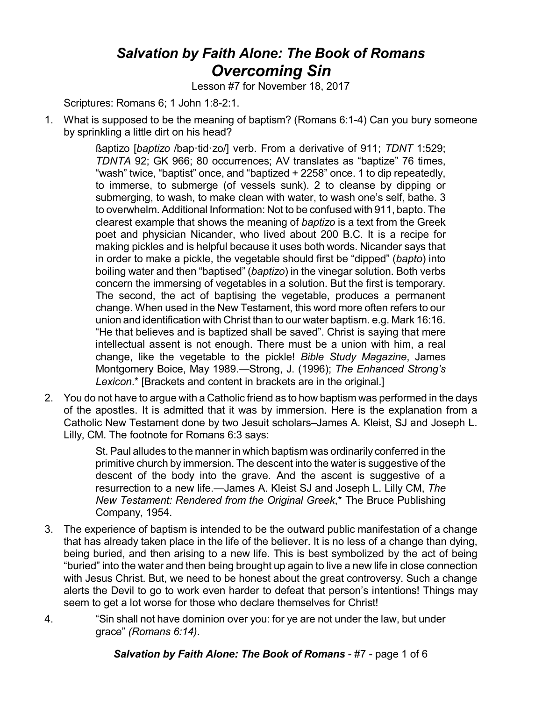## *Salvation by Faith Alone: The Book of Romans Overcoming Sin*

Lesson #7 for November 18, 2017

Scriptures: Romans 6; 1 John 1:8-2:1.

1. What is supposed to be the meaning of baptism? (Romans 6:1-4) Can you bury someone by sprinkling a little dirt on his head?

> ßaptizo [*baptizo* /bap·tid·zo/] verb. From a derivative of 911; *TDNT* 1:529; *TDNTA* 92; GK 966; 80 occurrences; AV translates as "baptize" 76 times, "wash" twice, "baptist" once, and "baptized + 2258" once. 1 to dip repeatedly, to immerse, to submerge (of vessels sunk). 2 to cleanse by dipping or submerging, to wash, to make clean with water, to wash one's self, bathe. 3 to overwhelm. Additional Information: Not to be confused with 911, bapto. The clearest example that shows the meaning of *baptizo* is a text from the Greek poet and physician Nicander, who lived about 200 B.C. It is a recipe for making pickles and is helpful because it uses both words. Nicander says that in order to make a pickle, the vegetable should first be "dipped" (*bapto*) into boiling water and then "baptised" (*baptizo*) in the vinegar solution. Both verbs concern the immersing of vegetables in a solution. But the first is temporary. The second, the act of baptising the vegetable, produces a permanent change. When used in the New Testament, this word more often refers to our union and identification with Christ than to our water baptism. e.g. Mark 16:16. "He that believes and is baptized shall be saved". Christ is saying that mere intellectual assent is not enough. There must be a union with him, a real change, like the vegetable to the pickle! *Bible Study Magazine*, James Montgomery Boice, May 1989.—Strong, J. (1996); *The Enhanced Strong's Lexicon*.\* [Brackets and content in brackets are in the original.]

2. You do not have to argue with a Catholic friend as to how baptism was performed in the days of the apostles. It is admitted that it was by immersion. Here is the explanation from a Catholic New Testament done by two Jesuit scholars–James A. Kleist, SJ and Joseph L. Lilly, CM. The footnote for Romans 6:3 says:

> St. Paul alludes to the manner in which baptism was ordinarily conferred in the primitive church by immersion. The descent into the water is suggestive of the descent of the body into the grave. And the ascent is suggestive of a resurrection to a new life.—James A. Kleist SJ and Joseph L. Lilly CM, *The New Testament: Rendered from the Original Greek*,\* The Bruce Publishing Company, 1954.

- 3. The experience of baptism is intended to be the outward public manifestation of a change that has already taken place in the life of the believer. It is no less of a change than dying, being buried, and then arising to a new life. This is best symbolized by the act of being "buried" into the water and then being brought up again to live a new life in close connection with Jesus Christ. But, we need to be honest about the great controversy. Such a change alerts the Devil to go to work even harder to defeat that person's intentions! Things may seem to get a lot worse for those who declare themselves for Christ!
- 4. "Sin shall not have dominion over you: for ye are not under the law, but under grace" *(Romans 6:14)*.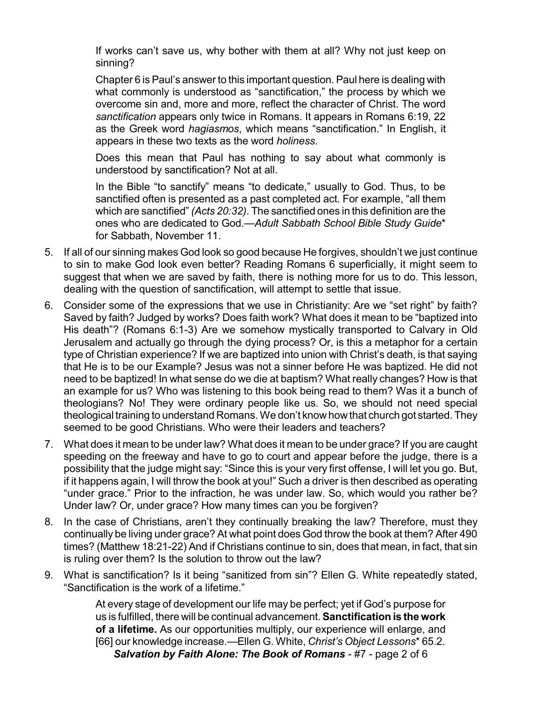If works can't save us, why bother with them at all? Why not just keep on sinning?

Chapter 6 is Paul's answer to this important question. Paul here is dealing with what commonly is understood as "sanctification," the process by which we overcome sin and, more and more, reflect the character of Christ. The word *sanctification* appears only twice in Romans. It appears in Romans 6:19, 22 as the Greek word *hagiasmos*, which means "sanctification." In English, it appears in these two texts as the word *holiness*.

Does this mean that Paul has nothing to say about what commonly is understood by sanctification? Not at all.

In the Bible "to sanctify" means "to dedicate," usually to God. Thus, to be sanctified often is presented as a past completed act. For example, "all them which are sanctified" *(Acts 20:32)*. The sanctified ones in this definition are the ones who are dedicated to God.—*Adult Sabbath School Bible Study Guide*\* for Sabbath, November 11.

- 5. If all of our sinning makes God look so good because He forgives, shouldn't we just continue to sin to make God look even better? Reading Romans 6 superficially, it might seem to suggest that when we are saved by faith, there is nothing more for us to do. This lesson, dealing with the question of sanctification, will attempt to settle that issue.
- 6. Consider some of the expressions that we use in Christianity: Are we "set right" by faith? Saved by faith? Judged by works? Does faith work? What does it mean to be "baptized into His death"? (Romans 6:1-3) Are we somehow mystically transported to Calvary in Old Jerusalem and actually go through the dying process? Or, is this a metaphor for a certain type of Christian experience? If we are baptized into union with Christ's death, is that saying that He is to be our Example? Jesus was not a sinner before He was baptized. He did not need to be baptized! In what sense do we die at baptism? What really changes? How is that an example for us? Who was listening to this book being read to them? Was it a bunch of theologians? No! They were ordinary people like us. So, we should not need special theological training to understand Romans.We don't know how that church got started.They seemed to be good Christians. Who were their leaders and teachers?
- 7. What does it mean to be under law? What does it mean to be under grace? If you are caught speeding on the freeway and have to go to court and appear before the judge, there is a possibility that the judge might say: "Since this is your very first offense, I will let you go. But, if it happens again, I will throw the book at you!" Such a driver is then described as operating "under grace." Prior to the infraction, he was under law. So, which would you rather be? Under law? Or, under grace? How many times can you be forgiven?
- 8. In the case of Christians, aren't they continually breaking the law? Therefore, must they continually be living under grace? At what point does God throw the book at them? After 490 times? (Matthew 18:21-22) And if Christians continue to sin, does that mean, in fact, that sin is ruling over them? Is the solution to throw out the law?
- 9. What is sanctification? Is it being "sanitized from sin"? Ellen G. White repeatedly stated, "Sanctification is the work of a lifetime."

At every stage of development our life may be perfect; yet if God's purpose for us is fulfilled, there will be continual advancement. **Sanctification is the work of a lifetime.** As our opportunities multiply, our experience will enlarge, and [66] our knowledge increase.—Ellen G. White, *Christ's Object Lessons*\* 65.2. *Salvation by Faith Alone: The Book of Romans* - #7 - page 2 of 6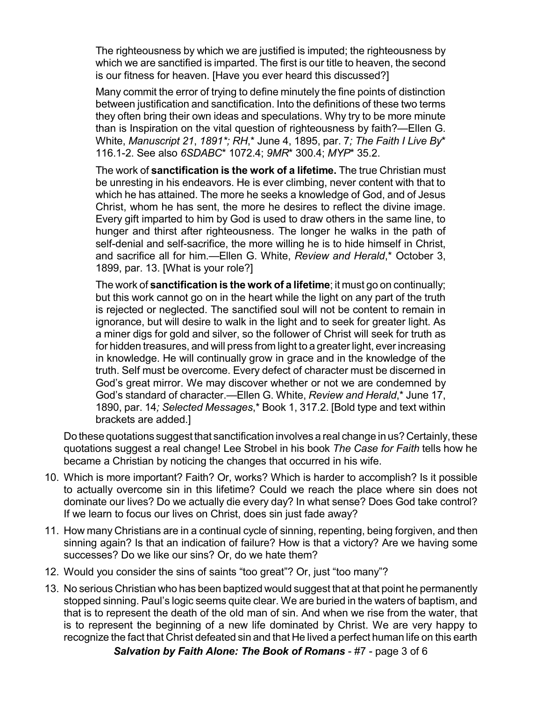The righteousness by which we are justified is imputed; the righteousness by which we are sanctified is imparted. The first is our title to heaven, the second is our fitness for heaven. [Have you ever heard this discussed?]

Many commit the error of trying to define minutely the fine points of distinction between justification and sanctification. Into the definitions of these two terms they often bring their own ideas and speculations. Why try to be more minute than is Inspiration on the vital question of righteousness by faith?—Ellen G. White, *Manuscript 21*, *1891\*; RH*,\* June 4, 1895, par. 7*; The Faith I Live By*\* 116.1-2. See also *6SDABC*\* 1072.4; *9MR*\* 300.4; *MYP*\* 35.2.

The work of **sanctification is the work of a lifetime.** The true Christian must be unresting in his endeavors. He is ever climbing, never content with that to which he has attained. The more he seeks a knowledge of God, and of Jesus Christ, whom he has sent, the more he desires to reflect the divine image. Every gift imparted to him by God is used to draw others in the same line, to hunger and thirst after righteousness. The longer he walks in the path of self-denial and self-sacrifice, the more willing he is to hide himself in Christ, and sacrifice all for him.—Ellen G. White, *Review and Herald*,\* October 3, 1899, par. 13. [What is your role?]

The work of **sanctification is the work of a lifetime**; it must go on continually; but this work cannot go on in the heart while the light on any part of the truth is rejected or neglected. The sanctified soul will not be content to remain in ignorance, but will desire to walk in the light and to seek for greater light. As a miner digs for gold and silver, so the follower of Christ will seek for truth as for hidden treasures, and will press from light to a greater light, ever increasing in knowledge. He will continually grow in grace and in the knowledge of the truth. Self must be overcome. Every defect of character must be discerned in God's great mirror. We may discover whether or not we are condemned by God's standard of character.—Ellen G. White, *Review and Herald*,\* June 17, 1890, par. 14*; Selected Messages*,\* Book 1, 317.2. [Bold type and text within brackets are added.]

Do these quotations suggest that sanctification involves a real change in us? Certainly, these quotations suggest a real change! Lee Strobel in his book *The Case for Faith* tells how he became a Christian by noticing the changes that occurred in his wife.

- 10. Which is more important? Faith? Or, works? Which is harder to accomplish? Is it possible to actually overcome sin in this lifetime? Could we reach the place where sin does not dominate our lives? Do we actually die every day? In what sense? Does God take control? If we learn to focus our lives on Christ, does sin just fade away?
- 11. How many Christians are in a continual cycle of sinning, repenting, being forgiven, and then sinning again? Is that an indication of failure? How is that a victory? Are we having some successes? Do we like our sins? Or, do we hate them?
- 12. Would you consider the sins of saints "too great"? Or, just "too many"?
- 13. No serious Christian who has been baptized would suggest that at that point he permanently stopped sinning. Paul's logic seems quite clear. We are buried in the waters of baptism, and that is to represent the death of the old man of sin. And when we rise from the water, that is to represent the beginning of a new life dominated by Christ. We are very happy to recognize the fact that Christ defeated sin and that He lived a perfect human life on this earth *Salvation by Faith Alone: The Book of Romans* - #7 - page 3 of 6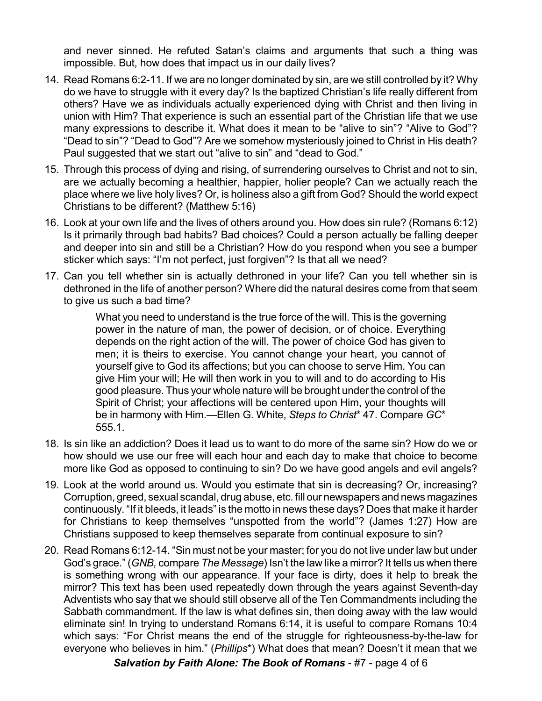and never sinned. He refuted Satan's claims and arguments that such a thing was impossible. But, how does that impact us in our daily lives?

- 14. Read Romans 6:2-11. If we are no longer dominated by sin, are we still controlled by it? Why do we have to struggle with it every day? Is the baptized Christian's life really different from others? Have we as individuals actually experienced dying with Christ and then living in union with Him? That experience is such an essential part of the Christian life that we use many expressions to describe it. What does it mean to be "alive to sin"? "Alive to God"? "Dead to sin"? "Dead to God"? Are we somehow mysteriously joined to Christ in His death? Paul suggested that we start out "alive to sin" and "dead to God."
- 15. Through this process of dying and rising, of surrendering ourselves to Christ and not to sin, are we actually becoming a healthier, happier, holier people? Can we actually reach the place where we live holy lives? Or, is holiness also a gift from God? Should the world expect Christians to be different? (Matthew 5:16)
- 16. Look at your own life and the lives of others around you. How does sin rule? (Romans 6:12) Is it primarily through bad habits? Bad choices? Could a person actually be falling deeper and deeper into sin and still be a Christian? How do you respond when you see a bumper sticker which says: "I'm not perfect, just forgiven"? Is that all we need?
- 17. Can you tell whether sin is actually dethroned in your life? Can you tell whether sin is dethroned in the life of another person? Where did the natural desires come from that seem to give us such a bad time?

What you need to understand is the true force of the will. This is the governing power in the nature of man, the power of decision, or of choice. Everything depends on the right action of the will. The power of choice God has given to men; it is theirs to exercise. You cannot change your heart, you cannot of yourself give to God its affections; but you can choose to serve Him. You can give Him your will; He will then work in you to will and to do according to His good pleasure. Thus your whole nature will be brought under the control of the Spirit of Christ; your affections will be centered upon Him, your thoughts will be in harmony with Him.—Ellen G. White, *Steps to Christ*\* 47. Compare *GC*\* 555.1.

- 18. Is sin like an addiction? Does it lead us to want to do more of the same sin? How do we or how should we use our free will each hour and each day to make that choice to become more like God as opposed to continuing to sin? Do we have good angels and evil angels?
- 19. Look at the world around us. Would you estimate that sin is decreasing? Or, increasing? Corruption, greed, sexual scandal, drug abuse, etc. fill our newspapers and news magazines continuously. "If it bleeds, it leads" is the motto in news these days? Does that make it harder for Christians to keep themselves "unspotted from the world"? (James 1:27) How are Christians supposed to keep themselves separate from continual exposure to sin?
- 20. Read Romans 6:12-14. "Sin must not be your master; for you do not live under law but under God's grace." (*GNB,* compare *The Message*) Isn't the law like a mirror? It tells us when there is something wrong with our appearance. If your face is dirty, does it help to break the mirror? This text has been used repeatedly down through the years against Seventh-day Adventists who say that we should still observe all of the Ten Commandments including the Sabbath commandment. If the law is what defines sin, then doing away with the law would eliminate sin! In trying to understand Romans 6:14, it is useful to compare Romans 10:4 which says: "For Christ means the end of the struggle for righteousness-by-the-law for everyone who believes in him." (*Phillips*\*) What does that mean? Doesn't it mean that we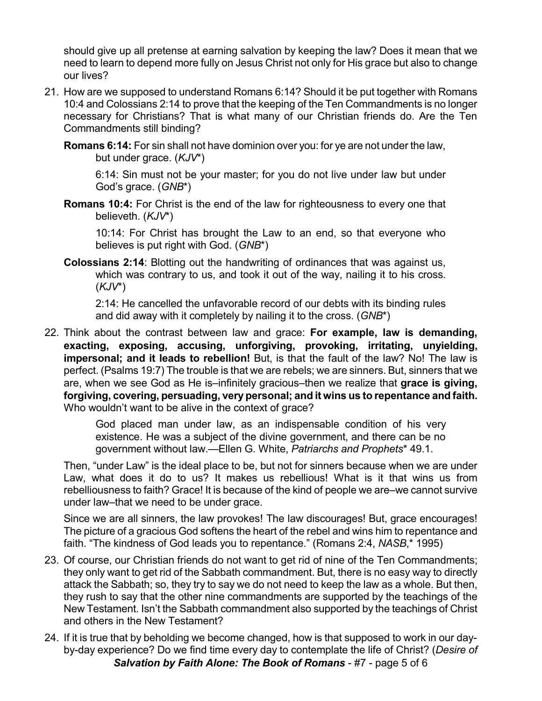should give up all pretense at earning salvation by keeping the law? Does it mean that we need to learn to depend more fully on Jesus Christ not only for His grace but also to change our lives?

- 21. How are we supposed to understand Romans 6:14? Should it be put together with Romans 10:4 and Colossians 2:14 to prove that the keeping of the Ten Commandments is no longer necessary for Christians? That is what many of our Christian friends do. Are the Ten Commandments still binding?
	- **Romans 6:14:** For sin shall not have dominion over you: for ye are not under the law, but under grace. (*KJV*\*)

6:14: Sin must not be your master; for you do not live under law but under God's grace. (*GNB*\*)

**Romans 10:4:** For Christ is the end of the law for righteousness to every one that believeth. (*KJV*\*)

10:14: For Christ has brought the Law to an end, so that everyone who believes is put right with God. (*GNB*\*)

**Colossians 2:14**: Blotting out the handwriting of ordinances that was against us, which was contrary to us, and took it out of the way, nailing it to his cross. (*KJV*\*)

2:14: He cancelled the unfavorable record of our debts with its binding rules and did away with it completely by nailing it to the cross. (*GNB*\*)

22. Think about the contrast between law and grace: **For example, law is demanding, exacting, exposing, accusing, unforgiving, provoking, irritating, unyielding, impersonal; and it leads to rebellion!** But, is that the fault of the law? No! The law is perfect. (Psalms 19:7) The trouble is that we are rebels; we are sinners. But, sinners that we are, when we see God as He is–infinitely gracious–then we realize that **grace is giving, forgiving, covering, persuading, very personal; and it wins us to repentance and faith.** Who wouldn't want to be alive in the context of grace?

> God placed man under law, as an indispensable condition of his very existence. He was a subject of the divine government, and there can be no government without law.—Ellen G. White, *Patriarchs and Prophets*\* 49.1.

Then, "under Law" is the ideal place to be, but not for sinners because when we are under Law, what does it do to us? It makes us rebellious! What is it that wins us from rebelliousness to faith? Grace! It is because of the kind of people we are–we cannot survive under law–that we need to be under grace.

Since we are all sinners, the law provokes! The law discourages! But, grace encourages! The picture of a gracious God softens the heart of the rebel and wins him to repentance and faith. "The kindness of God leads you to repentance." (Romans 2:4, *NASB*,\* 1995)

- 23. Of course, our Christian friends do not want to get rid of nine of the Ten Commandments; they only want to get rid of the Sabbath commandment. But, there is no easy way to directly attack the Sabbath; so, they try to say we do not need to keep the law as a whole. But then, they rush to say that the other nine commandments are supported by the teachings of the New Testament. Isn't the Sabbath commandment also supported by the teachings of Christ and others in the New Testament?
- 24. If it is true that by beholding we become changed, how is that supposed to work in our dayby-day experience? Do we find time every day to contemplate the life of Christ? (*Desire of Salvation by Faith Alone: The Book of Romans* - #7 - page 5 of 6